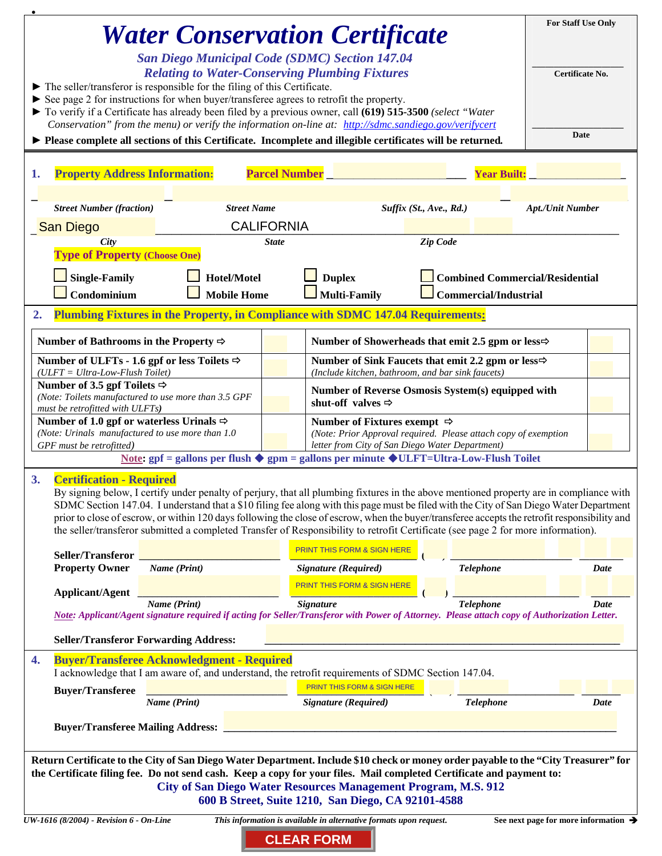| <b>Water Conservation Certificate</b>                                                                                                                                                                                 | <b>For Staff Use Only</b>                                                                                                                                                                                                                                                          |              |                                                                                                            |                              |                                        |  |
|-----------------------------------------------------------------------------------------------------------------------------------------------------------------------------------------------------------------------|------------------------------------------------------------------------------------------------------------------------------------------------------------------------------------------------------------------------------------------------------------------------------------|--------------|------------------------------------------------------------------------------------------------------------|------------------------------|----------------------------------------|--|
|                                                                                                                                                                                                                       |                                                                                                                                                                                                                                                                                    |              |                                                                                                            |                              |                                        |  |
| <b>San Diego Municipal Code (SDMC) Section 147.04</b><br><b>Relating to Water-Conserving Plumbing Fixtures</b>                                                                                                        |                                                                                                                                                                                                                                                                                    |              |                                                                                                            |                              | Certificate No.                        |  |
| $\blacktriangleright$ The seller/transferor is responsible for the filing of this Certificate.                                                                                                                        |                                                                                                                                                                                                                                                                                    |              |                                                                                                            |                              |                                        |  |
| $\triangleright$ See page 2 for instructions for when buyer/transferee agrees to retrofit the property.<br>To verify if a Certificate has already been filed by a previous owner, call (619) 515-3500 (select "Water  |                                                                                                                                                                                                                                                                                    |              |                                                                                                            |                              |                                        |  |
|                                                                                                                                                                                                                       |                                                                                                                                                                                                                                                                                    |              |                                                                                                            |                              |                                        |  |
| Conservation" from the menu) or verify the information on-line at: http://sdmc.sandiego.gov/verifycert<br>▶ Please complete all sections of this Certificate. Incomplete and illegible certificates will be returned. |                                                                                                                                                                                                                                                                                    |              |                                                                                                            |                              | <b>Date</b>                            |  |
|                                                                                                                                                                                                                       |                                                                                                                                                                                                                                                                                    |              |                                                                                                            |                              |                                        |  |
| <b>Property Address Information:</b><br><b>Parcel Number</b><br><b>Year Built:</b><br>1.                                                                                                                              |                                                                                                                                                                                                                                                                                    |              |                                                                                                            |                              |                                        |  |
|                                                                                                                                                                                                                       |                                                                                                                                                                                                                                                                                    |              |                                                                                                            |                              |                                        |  |
| <b>Street Number (fraction)</b>                                                                                                                                                                                       | <b>Street Name</b>                                                                                                                                                                                                                                                                 |              | Suffix (St., Ave., Rd.)                                                                                    |                              | <b>Apt./Unit Number</b>                |  |
| <b>San Diego</b>                                                                                                                                                                                                      | <b>CALIFORNIA</b>                                                                                                                                                                                                                                                                  |              |                                                                                                            |                              |                                        |  |
| City                                                                                                                                                                                                                  |                                                                                                                                                                                                                                                                                    | <b>State</b> |                                                                                                            | Zip Code                     |                                        |  |
| <b>Type of Property (Choose One)</b>                                                                                                                                                                                  |                                                                                                                                                                                                                                                                                    |              |                                                                                                            |                              |                                        |  |
| <b>Single-Family</b>                                                                                                                                                                                                  | Hotel/Motel                                                                                                                                                                                                                                                                        |              | <b>Duplex</b>                                                                                              |                              | <b>Combined Commercial/Residential</b> |  |
| Condominium                                                                                                                                                                                                           | <b>Mobile Home</b>                                                                                                                                                                                                                                                                 |              | <b>Multi-Family</b>                                                                                        | <b>Commercial/Industrial</b> |                                        |  |
| 2.                                                                                                                                                                                                                    | Plumbing Fixtures in the Property, in Compliance with SDMC 147.04 Requirements:                                                                                                                                                                                                    |              |                                                                                                            |                              |                                        |  |
| Number of Bathrooms in the Property $\Rightarrow$                                                                                                                                                                     |                                                                                                                                                                                                                                                                                    |              | Number of Showerheads that emit 2.5 gpm or less $\Rightarrow$                                              |                              |                                        |  |
| Number of ULFTs - 1.6 gpf or less Toilets $\Rightarrow$                                                                                                                                                               |                                                                                                                                                                                                                                                                                    |              | Number of Sink Faucets that emit 2.2 gpm or less <sup>⇒</sup>                                              |                              |                                        |  |
| (ULFT = Ultra-Low-Flush Toilet)<br>Number of 3.5 gpf Toilets $\Rightarrow$                                                                                                                                            |                                                                                                                                                                                                                                                                                    |              | (Include kitchen, bathroom, and bar sink faucets)                                                          |                              |                                        |  |
|                                                                                                                                                                                                                       | (Note: Toilets manufactured to use more than 3.5 GPF                                                                                                                                                                                                                               |              | Number of Reverse Osmosis System(s) equipped with<br>shut-off valves $\Rightarrow$                         |                              |                                        |  |
| must be retrofitted with ULFTs)                                                                                                                                                                                       |                                                                                                                                                                                                                                                                                    |              |                                                                                                            |                              |                                        |  |
| Number of 1.0 gpf or waterless Urinals $\Rightarrow$<br>(Note: Urinals manufactured to use more than 1.0)                                                                                                             |                                                                                                                                                                                                                                                                                    |              | Number of Fixtures exempt $\Rightarrow$<br>(Note: Prior Approval required. Please attach copy of exemption |                              |                                        |  |
| GPF must be retrofitted)<br>letter from City of San Diego Water Department)                                                                                                                                           |                                                                                                                                                                                                                                                                                    |              |                                                                                                            |                              |                                        |  |
| Note: $gpf =$ gallons per flush $\blacklozenge$ gpm = gallons per minute $\blacklozenge$ ULFT=Ultra-Low-Flush Toilet                                                                                                  |                                                                                                                                                                                                                                                                                    |              |                                                                                                            |                              |                                        |  |
| <b>Certification - Required</b><br>3.<br>By signing below, I certify under penalty of perjury, that all plumbing fixtures in the above mentioned property are in compliance with                                      |                                                                                                                                                                                                                                                                                    |              |                                                                                                            |                              |                                        |  |
| SDMC Section 147.04. I understand that a \$10 filing fee along with this page must be filed with the City of San Diego Water Department                                                                               |                                                                                                                                                                                                                                                                                    |              |                                                                                                            |                              |                                        |  |
|                                                                                                                                                                                                                       | prior to close of escrow, or within 120 days following the close of escrow, when the buyer/transferee accepts the retrofit responsibility and<br>the seller/transferor submitted a completed Transfer of Responsibility to retrofit Certificate (see page 2 for more information). |              |                                                                                                            |                              |                                        |  |
|                                                                                                                                                                                                                       |                                                                                                                                                                                                                                                                                    |              |                                                                                                            |                              |                                        |  |
| Seller/Transferor                                                                                                                                                                                                     |                                                                                                                                                                                                                                                                                    |              | <b>PRINT THIS FORM &amp; SIGN HERE</b>                                                                     |                              |                                        |  |
| <b>Property Owner</b>                                                                                                                                                                                                 | Name (Print)                                                                                                                                                                                                                                                                       |              | Signature (Required)                                                                                       | <b>Telephone</b>             | Date                                   |  |
| <b>Applicant/Agent</b>                                                                                                                                                                                                |                                                                                                                                                                                                                                                                                    |              | <b>PRINT THIS FORM &amp; SIGN HERE</b>                                                                     |                              |                                        |  |
|                                                                                                                                                                                                                       | Name (Print)<br>Note: Applicant/Agent signature required if acting for Seller/Transferor with Power of Attorney. Please attach copy of Authorization Letter.                                                                                                                       |              | <b>Signature</b>                                                                                           | <b>Telephone</b>             | <b>Date</b>                            |  |
|                                                                                                                                                                                                                       |                                                                                                                                                                                                                                                                                    |              |                                                                                                            |                              |                                        |  |
|                                                                                                                                                                                                                       | <b>Seller/Transferor Forwarding Address:</b>                                                                                                                                                                                                                                       |              |                                                                                                            |                              |                                        |  |
| 4.                                                                                                                                                                                                                    | <b>Buyer/Transferee Acknowledgment - Required</b><br>I acknowledge that I am aware of, and understand, the retrofit requirements of SDMC Section 147.04.                                                                                                                           |              |                                                                                                            |                              |                                        |  |
|                                                                                                                                                                                                                       |                                                                                                                                                                                                                                                                                    |              | PRINT THIS FORM & SIGN HERE                                                                                |                              |                                        |  |
| <b>Buyer/Transferee</b>                                                                                                                                                                                               | Name (Print)                                                                                                                                                                                                                                                                       |              | <b>Signature</b> (Required)                                                                                | <b>Telephone</b>             | Date                                   |  |
|                                                                                                                                                                                                                       |                                                                                                                                                                                                                                                                                    |              |                                                                                                            |                              |                                        |  |
| <b>Buyer/Transferee Mailing Address:</b>                                                                                                                                                                              |                                                                                                                                                                                                                                                                                    |              |                                                                                                            |                              |                                        |  |
| Return Certificate to the City of San Diego Water Department. Include \$10 check or money order payable to the "City Treasurer" for                                                                                   |                                                                                                                                                                                                                                                                                    |              |                                                                                                            |                              |                                        |  |
| the Certificate filing fee. Do not send cash. Keep a copy for your files. Mail completed Certificate and payment to:                                                                                                  |                                                                                                                                                                                                                                                                                    |              |                                                                                                            |                              |                                        |  |
| City of San Diego Water Resources Management Program, M.S. 912<br>600 B Street, Suite 1210, San Diego, CA 92101-4588                                                                                                  |                                                                                                                                                                                                                                                                                    |              |                                                                                                            |                              |                                        |  |
|                                                                                                                                                                                                                       |                                                                                                                                                                                                                                                                                    |              |                                                                                                            |                              |                                        |  |
| UW-1616 (8/2004) - Revision 6 - On-Line<br>This information is available in alternative formats upon request.<br>See next page for more information $\rightarrow$                                                     |                                                                                                                                                                                                                                                                                    |              |                                                                                                            |                              |                                        |  |
|                                                                                                                                                                                                                       |                                                                                                                                                                                                                                                                                    |              | <b>CLEAR FORM</b>                                                                                          |                              |                                        |  |